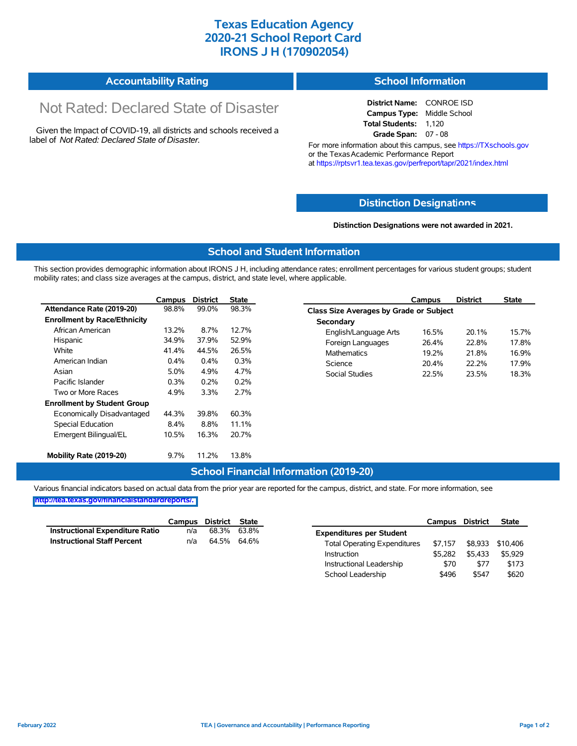## **Texas Education Agency 2020-21 School Report Card IRONS J H (170902054)**

#### **Accountability Rating School Information**

# Not Rated: Declared State of Disaster

Given the Impact of COVID-19, all districts and schools received a label of *Not Rated: Declared State of Disaster.*

#### **District Name:** CONROE ISD **Campus Type:** Middle School **Total Students:** 1,120 **Grade Span:** 07 - 08

For more information about this campus, see https://TXschools.gov or the Texas Academic Performance Report at https://rptsvr1.tea.texas.gov/perfreport/tapr/2021/index.html

## **Distinction Designat[ions](https://TXschools.gov)**

#### **Distinction Designations were not awarded in 2021.**

School Leadership  $$496$  \$547 \$620

### **School and Student Information**

This section provides demographic information about IRONS J H, including attendance rates; enrollment percentages for various student groups; student mobility rates; and class size averages at the campus, district, and state level, where applicable.

|                                     | Campus  | <b>District</b> | <b>State</b> | <b>District</b><br>Campus               | <b>State</b> |
|-------------------------------------|---------|-----------------|--------------|-----------------------------------------|--------------|
| Attendance Rate (2019-20)           | 98.8%   | 99.0%           | 98.3%        | Class Size Averages by Grade or Subject |              |
| <b>Enrollment by Race/Ethnicity</b> |         |                 |              | Secondary                               |              |
| African American                    | 13.2%   | 8.7%            | 12.7%        | English/Language Arts<br>16.5%<br>20.1% | 15.7%        |
| Hispanic                            | 34.9%   | 37.9%           | 52.9%        | 26.4%<br>Foreign Languages<br>22.8%     | 17.8%        |
| White                               | 41.4%   | 44.5%           | 26.5%        | <b>Mathematics</b><br>19.2%<br>21.8%    | 16.9%        |
| American Indian                     | $0.4\%$ | 0.4%            | 0.3%         | Science<br>22.2%<br>20.4%               | 17.9%        |
| Asian                               | 5.0%    | 4.9%            | 4.7%         | <b>Social Studies</b><br>22.5%<br>23.5% | 18.3%        |
| Pacific Islander                    | 0.3%    | 0.2%            | 0.2%         |                                         |              |
| Two or More Races                   | 4.9%    | 3.3%            | 2.7%         |                                         |              |
| <b>Enrollment by Student Group</b>  |         |                 |              |                                         |              |
| Economically Disadvantaged          | 44.3%   | 39.8%           | 60.3%        |                                         |              |
| Special Education                   | 8.4%    | 8.8%            | 11.1%        |                                         |              |
| Emergent Bilingual/EL               | 10.5%   | 16.3%           | 20.7%        |                                         |              |
| Mobility Rate (2019-20)             | 9.7%    | 11.2%           | 13.8%        |                                         |              |

### **School Financial Information (2019-20)**

Various financial indicators based on actual data from the prior year are reported for the campus, district, and state. For more information, see

**[http://tea.texas.gov/financialstandardreports/.](http://tea.texas.gov/financialstandardreports/)**

|                                    | Campus | District State |             |                                     | Campus  | <b>District</b> | <b>State</b> |
|------------------------------------|--------|----------------|-------------|-------------------------------------|---------|-----------------|--------------|
| Instructional Expenditure Ratio    | n/a    |                | 68.3% 63.8% | <b>Expenditures per Student</b>     |         |                 |              |
| <b>Instructional Staff Percent</b> | n/a    | 64.5% 64.6%    |             | <b>Total Operating Expenditures</b> | \$7.157 | \$8,933         | \$10.406     |
|                                    |        |                |             | Instruction                         | \$5.282 | \$5.433         | \$5,929      |
|                                    |        |                |             | Instructional Leadership            | \$70    | \$77            | \$173        |